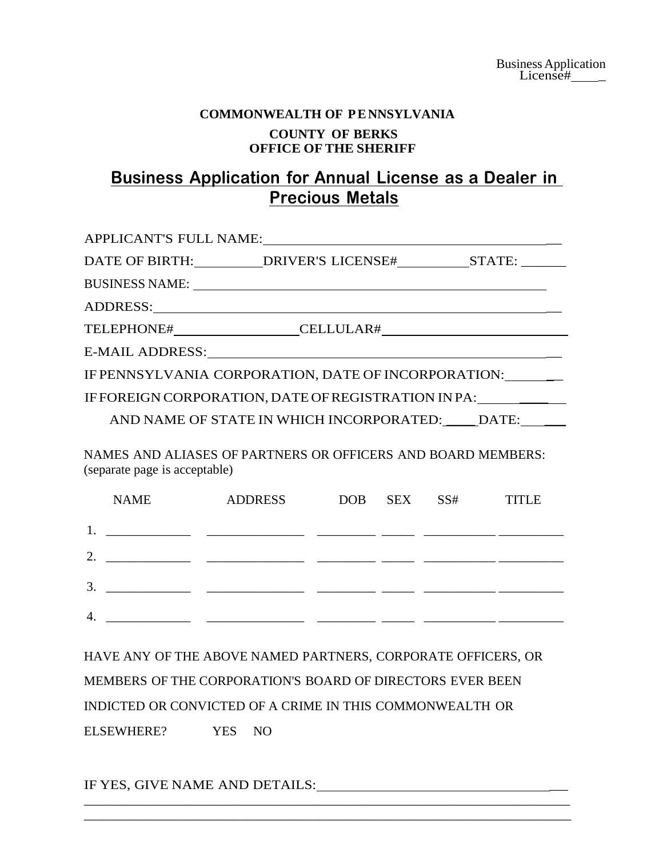## **COMMONWEALTH OF P E NNSYLVANIA COUNTY OF BERKS OFFICE OF THE SHERIFF**

# **Business Application for Annual License as a Dealer in Precious Metals**

|                 | APPLICANT'S FULL NAME:                              |  |
|-----------------|-----------------------------------------------------|--|
|                 | DATE OF BIRTH: DRIVER'S LICENSE# STATE: ______      |  |
|                 |                                                     |  |
|                 | ADDRESS:                                            |  |
|                 |                                                     |  |
| E-MAIL ADDRESS: |                                                     |  |
|                 | IF PENNSYLVANIA CORPORATION, DATE OF INCORPORATION: |  |
|                 | IF FOREIGN CORPORATION, DATE OF REGISTRATION IN PA: |  |
|                 | AND NAME OF STATE IN WHICH INCORPORATED: DATE:      |  |
|                 |                                                     |  |

NAMES AND ALIASES OF PARTNERS OR OFFICERS AND BOARD MEMBERS: (separate page is acceptable)

|                  | <b>NAME</b> | ADDRESS | DOB SEX SS# | <b>TITLE</b> |
|------------------|-------------|---------|-------------|--------------|
|                  |             |         |             |              |
| $\overline{2}$ . |             |         |             |              |
| $\mathfrak{Z}$   |             |         |             |              |
|                  |             |         |             |              |
|                  |             |         |             |              |

HAVE ANY OF THE ABOVE NAMED PARTNERS, CORPORATE OFFICERS, OR MEMBERS OF THE CORPORATION'S BOARD OF DIRECTORS EVER BEEN INDICTED OR CONVICTED OF A CRIME IN THIS COMMONWEALTH OR ELSEWHERE? YES NO

\_\_\_\_\_\_\_\_\_\_\_\_\_\_\_\_\_\_\_\_\_\_\_\_\_\_\_\_\_\_\_\_\_\_\_\_\_\_\_\_\_\_\_\_\_\_\_\_\_\_\_\_\_\_\_\_\_\_\_\_\_\_\_\_\_\_\_\_ \_\_\_\_\_\_\_\_\_\_\_\_\_\_\_\_\_\_\_\_\_\_\_\_\_\_\_\_\_\_\_\_\_\_\_\_\_\_\_\_\_\_\_\_\_\_\_\_\_\_\_\_\_\_\_\_\_\_\_\_\_\_\_\_\_\_\_\_\_\_\_\_\_\_\_

IF YES, GIVE NAME AND DETAILS: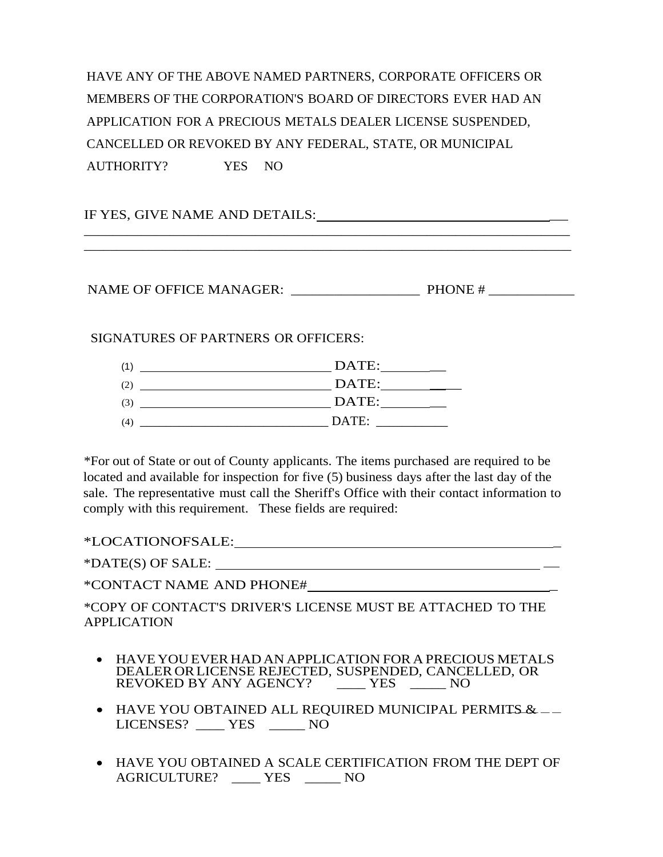HAVE ANY OF THE ABOVE NAMED PARTNERS, CORPORATE OFFICERS OR MEMBERS OF THE CORPORATION'S BOARD OF DIRECTORS EVER HAD AN APPLICATION FOR A PRECIOUS METALS DEALER LICENSE SUSPENDED, CANCELLED OR REVOKED BY ANY FEDERAL, STATE, OR MUNICIPAL

\_\_\_\_\_\_\_\_\_\_\_\_\_\_\_\_\_\_\_\_\_\_\_\_\_\_\_\_\_\_\_\_\_\_\_\_\_\_\_\_\_\_\_\_\_\_\_\_\_\_\_\_\_\_\_\_\_\_\_\_\_\_\_\_\_\_\_\_ \_\_\_\_\_\_\_\_\_\_\_\_\_\_\_\_\_\_\_\_\_\_\_\_\_\_\_\_\_\_\_\_\_\_\_\_\_\_\_\_\_\_\_\_\_\_\_\_\_\_\_\_\_\_\_\_\_\_\_\_\_\_\_\_\_\_\_\_\_\_\_\_\_\_\_

AUTHORITY? YES NO

IF YES, GIVE NAME AND DETAILS:

NAME OF OFFICE MANAGER: PHONE #

SIGNATURES OF PARTNERS OR OFFICERS:

| (1) | DATE: |
|-----|-------|
| (2) | DATE: |
| (3) | DATE: |
| (4) | DATE: |

\*For out of State or out of County applicants. The items purchased are required to be located and available for inspection for five (5) business days after the last day of the sale. The representative must call the Sheriff's Office with their contact information to comply with this requirement. These fields are required:

\*LOCATIONOFSALE: \_

\*DATE(S) OF SALE:

\*CONTACT NAME AND PHONE# \_

\*COPY OF CONTACT'S DRIVER'S LICENSE MUST BE ATTACHED TO THE APPLICATION

- HAVE YOU EVER HAD AN APPLICATION FOR A PRECIOUS METALS DEALER ORLICENSE REJECTED, SUSPENDED, CANCELLED, OR REVOKED BY ANY AGENCY? \_\_\_\_ YES \_\_\_\_\_ NO
- ----- HAVE YOU OBTAINED ALL REQUIRED MUNICIPAL PERMITS & LICENSES? \_\_\_\_ YES \_\_\_\_\_ NO
- HAVE YOU OBTAINED A SCALE CERTIFICATION FROM THE DEPT OF AGRICULTURE? \_\_\_\_ YES \_\_\_\_\_ NO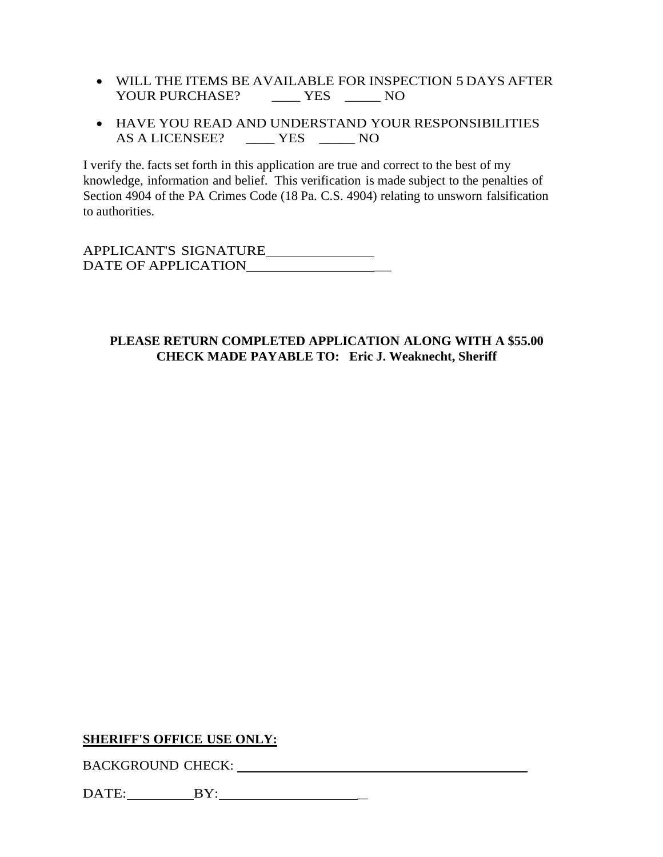- WILL THE ITEMS BE AVAILABLE FOR INSPECTION 5 DAYS AFTER YOUR PURCHASE? \_\_\_\_\_\_ YES \_\_\_\_\_ NO
- HAVE YOU READ AND UNDERSTAND YOUR RESPONSIBILITIES AS A LICENSEE? \_\_\_\_ YES \_\_\_\_\_ NO

I verify the. facts set forth in this application are true and correct to the best of my knowledge, information and belief. This verification is made subject to the penalties of Section 4904 of the PA Crimes Code (18 Pa. C.S. 4904) relating to unsworn falsification to authorities.

APPLICANT'S SIGNATURE DATE OF APPLICATION \_

#### **PLEASE RETURN COMPLETED APPLICATION ALONG WITH A \$55.00 CHECK MADE PAYABLE TO: Eric J. Weaknecht, Sheriff**

#### **SHERIFF'S OFFICE USE ONLY:**

BACKGROUND CHECK: University of the CHECK of the CHECK of the CHECK of the CHECK of the CHECK of the CHECK of the CHECK of the CHECK of the CHECK of the CHECK of the CHECK of the CHECK of the CHECK of the CHECK of the CHEC

DATE: BY: \_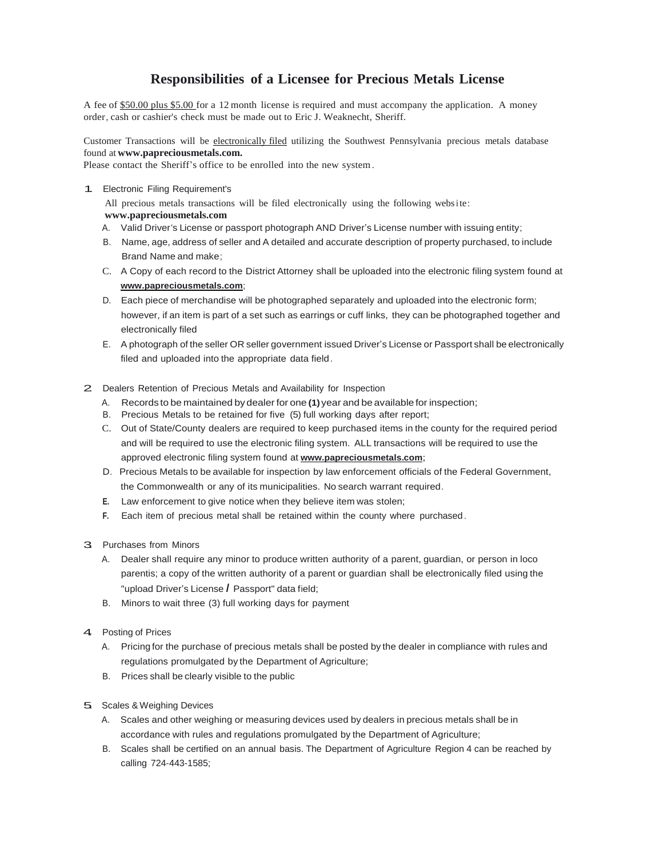### **Responsibilities of a Licensee for Precious Metals License**

A fee of \$50.00 plus \$5.00 for a 12 month license is required and must accompany the application. A money order, cash or cashier's check must be made out to Eric J. Weaknecht, Sheriff.

Customer Transactions will be electronically filed utilizing the Southwest Pennsylvania precious metals database found at **[www.papreciousmetals.com.](http://www.papreciousmetals.com/)**

Please contact the Sheriff's office to be enrolled into the new system.

1. Electronic Filing Requirement's

All precious metals transactions will be filed electronically using the following website: **[www.papreciousmetals.com](http://www.papreciousmetals.com/)**

- A. Valid Driver's License or passport photograph AND Driver's License number with issuing entity;
- B. Name, age, address of seller and A detailed and accurate description of property purchased, to include Brand Name and make;
- C. A Copy of each record to the District Attorney shall be uploaded into the electronic filing system found at **www.papreciousmetals.com**;
- D. Each piece of merchandise will be photographed separately and uploaded into the electronic form; however, if an item is part of a set such as earrings or cuff links, they can be photographed together and electronically filed
- E. A photograph of the seller OR seller government issued Driver's License or Passport shall be electronically filed and uploaded into the appropriate data field.
- 2. Dealers Retention of Precious Metals and Availability for Inspection
	- A. Records to be maintained by dealer for one **(1)**year and be available for inspection;
	- B. Precious Metals to be retained for five (5) full working days after report;
	- C. Out of State/County dealers are required to keep purchased items in the county for the required period and will be required to use the electronic filing system. ALL transactions will be required to use the approved electronic filing system found at **www.papreciousmetals.com**;
	- D. Precious Metals to be available for inspection by law enforcement officials of the Federal Government, the Commonwealth or any of its municipalities. No search warrant required.
	- **E.** Law enforcement to give notice when they believe item was stolen;
	- **F.** Each item of precious metal shall be retained within the county where purchased.
- 3. Purchases from Minors
	- A. Dealer shall require any minor to produce written authority of a parent, guardian, or person in loco parentis; a copy of the written authority of a parent or guardian shall be electronically filed using the "upload Driver's License *I* Passport" data field;
	- B. Minors to wait three (3) full working days for payment
- 4. Posting of Prices
	- A. Pricing for the purchase of precious metals shall be posted by the dealer in compliance with rules and regulations promulgated by the Department of Agriculture;
	- B. Prices shall be clearly visible to the public
- 5. Scales & Weighing Devices
	- A. Scales and other weighing or measuring devices used by dealers in precious metals shall be in accordance with rules and regulations promulgated by the Department of Agriculture;
	- B. Scales shall be certified on an annual basis. The Department of Agriculture Region 4 can be reached by calling 724-443-1585;